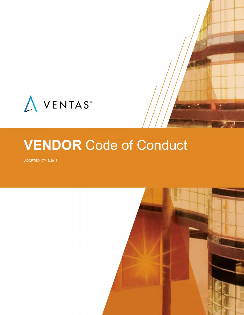

# **VENDOR** Code of Conduct

ADOPTED: 07/13/2018

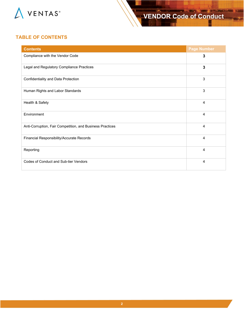

## **TABLE OF CONTENTS**

| <b>Contents</b>                                           | <b>Page Number</b> |
|-----------------------------------------------------------|--------------------|
| Compliance with the Vendor Code                           | 3                  |
| Legal and Regulatory Compliance Practices                 | 3                  |
| Confidentiality and Data Protection                       | 3                  |
| Human Rights and Labor Standards                          | 3                  |
| Health & Safety                                           | $\overline{4}$     |
| Environment                                               | $\overline{4}$     |
| Anti-Corruption, Fair Competition, and Business Practices | $\overline{4}$     |
| Financial Responsibility/Accurate Records                 | $\overline{4}$     |
| Reporting                                                 | 4                  |
| Codes of Conduct and Sub-tier Vendors                     | 4                  |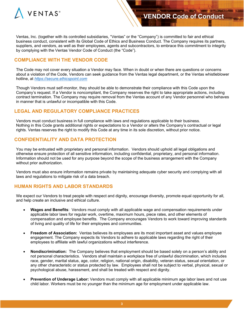

Ventas, Inc. (together with its controlled subsidiaries, "Ventas" or the "Company") is committed to fair and ethical business conduct, consistent with its Global Code of Ethics and Business Conduct. The Company requires its partners, suppliers, and vendors, as well as their employees, agents and subcontractors, to embrace this commitment to integrity by complying with the Ventas Vendor Code of Conduct (the "Code").

## **COMPLIANCE WITH THE VENDOR CODE**

The Code may not cover every situation a Vendor may face. When in doubt or when there are questions or concerns about a violation of the Code, Vendors can seek guidance from the Ventas legal department, or the Ventas whistleblower hotline, at *[https://secure.ethicspoint.com](https://secure.ethicspoint.com/)*

Though Vendors must self-monitor, they should be able to demonstrate their compliance with this Code upon the Company's request. If a Vendor is noncompliant, the Company reserves the right to take appropriate actions, including contract termination. The Company may require removal from the Ventas account of any Vendor personnel who behaves in manner that is unlawful or incompatible with this Code.

## **LEGAL AND REGULATORY COMPLIANCE PRACTICES**

Vendors must conduct business in full compliance with laws and regulations applicable to their business. Nothing in this Code grants additional rights or expectations to a Vendor or alters the Company's contractual or legal rights. Ventas reserves the right to modify this Code at any time in its sole discretion, without prior notice.

#### **CONFIDENTIALITY AND DATA PROTECTION**

You may be entrusted with proprietary and personal information. Vendors should uphold all legal obligations and otherwise ensure protection of all sensitive information, including confidential, proprietary, and personal information. Information should not be used for any purpose beyond the scope of the business arrangement with the Company without prior authorization.

Vendors must also ensure information remains private by maintaining adequate cyber security and complying with all laws and regulations to mitigate risk of a data breach.

#### **HUMAN RIGHTS AND LABOR STANDARDS**

We expect our Vendors to treat people with respect and dignity, encourage diversity, promote equal opportunity for all, and help create an inclusive and ethical culture.

- **Wages and Benefits**: Vendors must comply with all applicable wage and compensation requirements under applicable labor laws for regular work, overtime, maximum hours, piece rates, and other elements of compensation and employee benefits. The Company encourages Vendors to work toward improving standards of living and quality of life for their employees and communities.
- **Freedom of Association:** Ventas believes its employees are its most important asset and values employee engagement. The Company expects its Vendors to adhere to applicable laws regarding the right of their employees to affiliate with lawful organizations without interference.
- **Nondiscrimination:** The Company believes that employment should be based solely on a person's ability and not personal characteristics. Vendors shall maintain a workplace free of unlawful discrimination, which includes race, gender, marital status, age, color, religion, national origin, disability, veteran status, sexual orientation, or any other characteristic or status protected by law. Employees shall not be subject to verbal, physical, sexual or psychological abuse, harassment, and shall be treated with respect and dignity.
- **Prevention of Underage Labor:** Vendors must comply with all applicable minimum age labor laws and not use child labor. Workers must be no younger than the minimum age for employment under applicable law.